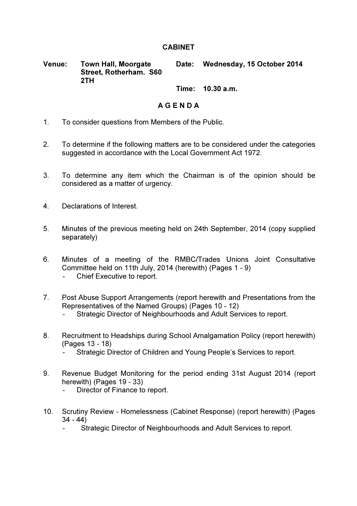## **CABINET**

Venue: Town Hall, Moorgate Street, Rotherham. S60 2TH Date: Wednesday, 15 October 2014

Time: 10.30 a.m.

## A G E N D A

- 1. To consider questions from Members of the Public.
- 2. To determine if the following matters are to be considered under the categories suggested in accordance with the Local Government Act 1972.
- 3. To determine any item which the Chairman is of the opinion should be considered as a matter of urgency.
- 4. Declarations of Interest.
- 5. Minutes of the previous meeting held on 24th September, 2014 (copy supplied separately)
- 6. Minutes of a meeting of the RMBC/Trades Unions Joint Consultative Committee held on 11th July, 2014 (herewith) (Pages 1 - 9)
	- Chief Executive to report.
- 7. Post Abuse Support Arrangements (report herewith and Presentations from the Representatives of the Named Groups) (Pages 10 - 12)
	- Strategic Director of Neighbourhoods and Adult Services to report.
- 8. Recruitment to Headships during School Amalgamation Policy (report herewith) (Pages 13 - 18)
	- Strategic Director of Children and Young People's Services to report.
- 9. Revenue Budget Monitoring for the period ending 31st August 2014 (report herewith) (Pages 19 - 33)
	- Director of Finance to report.
- 10. Scrutiny Review Homelessness (Cabinet Response) (report herewith) (Pages  $34 - 44$ )
	- Strategic Director of Neighbourhoods and Adult Services to report.